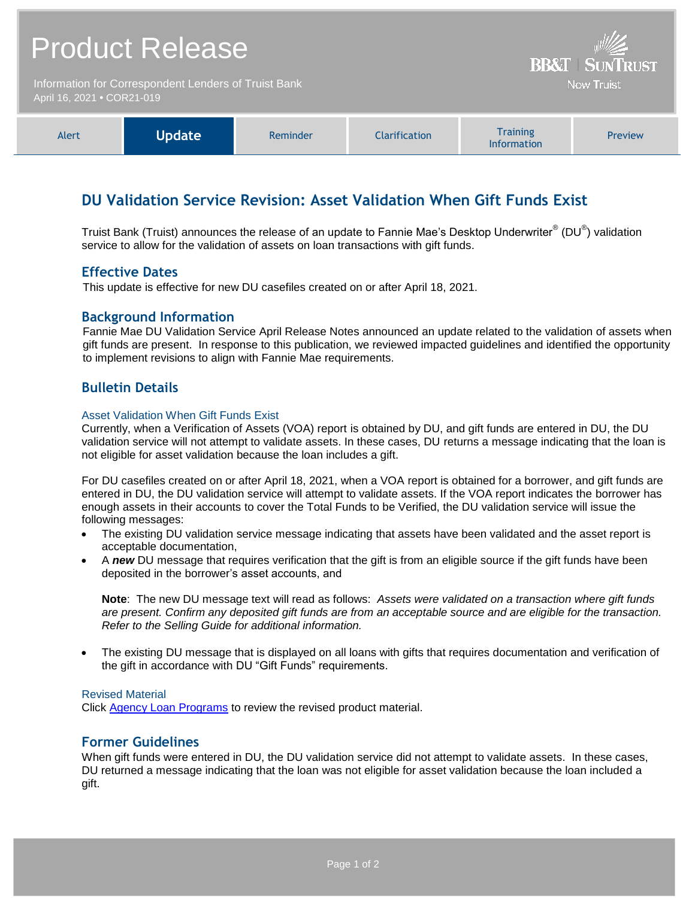| <b>Product Release</b><br>Information for Correspondent Lenders of Truist Bank<br>April 16, 2021 . COR21-019 |               |          |                      | <b>BB&amp;T   SUNTRUST</b><br><b>Now Truist</b> |         |
|--------------------------------------------------------------------------------------------------------------|---------------|----------|----------------------|-------------------------------------------------|---------|
|                                                                                                              |               |          |                      |                                                 |         |
| Alert                                                                                                        | <b>Update</b> | Reminder | <b>Clarification</b> | <b>Training</b><br>The Company's and a con-     | Preview |

# **DU Validation Service Revision: Asset Validation When Gift Funds Exist**

Truist Bank (Truist) announces the release of an update to Fannie Mae's Desktop Underwriter® (DU®) validation service to allow for the validation of assets on loan transactions with gift funds.

Information

## **Effective Dates**

This update is effective for new DU casefiles created on or after April 18, 2021.

## **Background Information**

Fannie Mae DU Validation Service April Release Notes announced an update related to the validation of assets when gift funds are present. In response to this publication, we reviewed impacted guidelines and identified the opportunity to implement revisions to align with Fannie Mae requirements.

## **Bulletin Details**

#### Asset Validation When Gift Funds Exist

Currently, when a Verification of Assets (VOA) report is obtained by DU, and gift funds are entered in DU, the DU validation service will not attempt to validate assets. In these cases, DU returns a message indicating that the loan is not eligible for asset validation because the loan includes a gift.

For DU casefiles created on or after April 18, 2021, when a VOA report is obtained for a borrower, and gift funds are entered in DU, the DU validation service will attempt to validate assets. If the VOA report indicates the borrower has enough assets in their accounts to cover the Total Funds to be Verified, the DU validation service will issue the following messages:

- The existing DU validation service message indicating that assets have been validated and the asset report is acceptable documentation,
- A *new* DU message that requires verification that the gift is from an eligible source if the gift funds have been deposited in the borrower's asset accounts, and

**Note**: The new DU message text will read as follows: *Assets were validated on a transaction where gift funds are present. Confirm any deposited gift funds are from an acceptable source and are eligible for the transaction. Refer to the Selling Guide for additional information.*

 The existing DU message that is displayed on all loans with gifts that requires documentation and verification of the gift in accordance with DU "Gift Funds" requirements.

#### Revised Material

Click [Agency Loan Programs](https://www.truistsellerguide.com/manual/cor/products/CAgency.pdf) to review the revised product material.

## **Former Guidelines**

When gift funds were entered in DU, the DU validation service did not attempt to validate assets. In these cases, DU returned a message indicating that the loan was not eligible for asset validation because the loan included a gift.